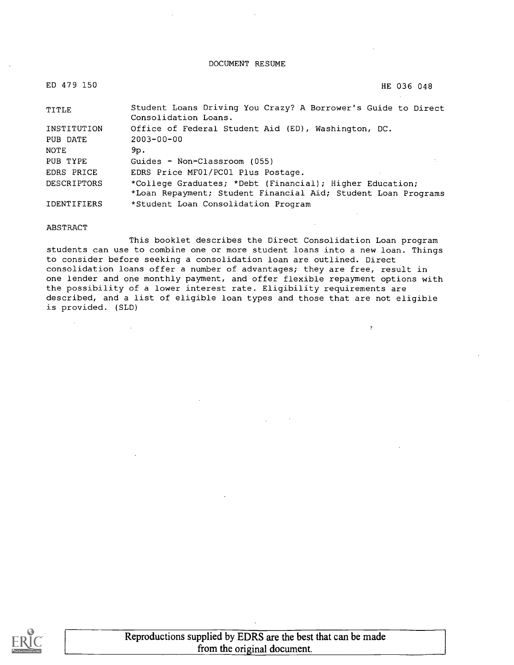#### DOCUMENT RESUME

| ED 479 150         | HE 036 048                                                                            |  |  |
|--------------------|---------------------------------------------------------------------------------------|--|--|
| TITLE              | Student Loans Driving You Crazy? A Borrower's Guide to Direct<br>Consolidation Loans. |  |  |
| INSTITUTION        | Office of Federal Student Aid (ED), Washington, DC.                                   |  |  |
| PUB DATE           | $2003 - 00 - 00$                                                                      |  |  |
| NOTE               | 9p.                                                                                   |  |  |
| PUB TYPE           | Guides - Non-Classroom (055)                                                          |  |  |
| EDRS PRICE         | EDRS Price MF01/PC01 Plus Postage.                                                    |  |  |
| <b>DESCRIPTORS</b> | *College Graduates; *Debt (Financial); Higher Education;                              |  |  |
|                    | *Loan Repayment; Student Financial Aid; Student Loan Programs                         |  |  |
| <b>IDENTIFIERS</b> | *Student Loan Consolidation Program                                                   |  |  |

#### ABSTRACT

This booklet describes the Direct Consolidation Loan program students can use to combine one or more student loans into a new loan. Things to consider before seeking a consolidation loan are outlined. Direct consolidation loans offer a number of advantages; they are free, result in one lender and one monthly payment, and offer flexible repayment options with the possibility of a lower interest rate. Eligibility requirements are described, and a list of eligible loan types and those that are not eligible is provided. (SLD)

 $\tilde{\xi}$ 

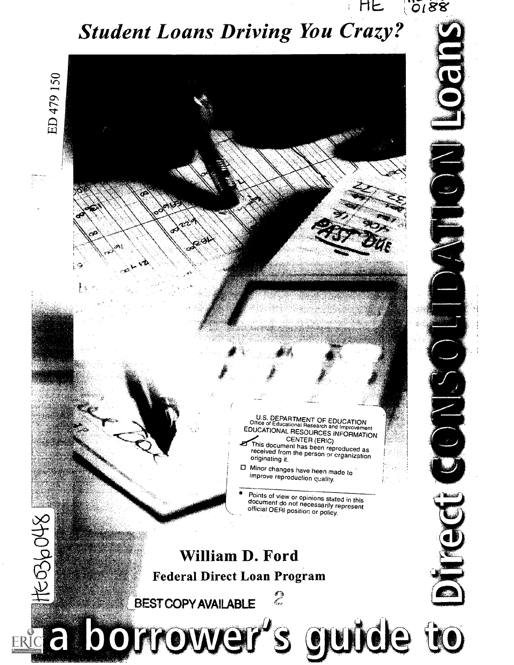# **Student Loans Driving You Crazy?**

ED 479 150

5096048

ERIC<sup>C</sup>

けヒ

 $0.88$ 

U.S. DEPARTMENT OF EDUCATION<br>Office of Educational Research and Improvement EDUCATIONAL RESOURCES INFORMATION CENTER (ERIC) This document has been reproduced as received from the person or organization originating it.

D Minor changes have been made to improve reproduction quality.

Points of view or opinions stated in this<br>document do not necessarily represent official OERI position or policy.

guide to

 $\mathcal{L}$ 

#### William D. Ford **Federal Direct Loan Program**

**BEST COPY AVAILABLE** 

Orrow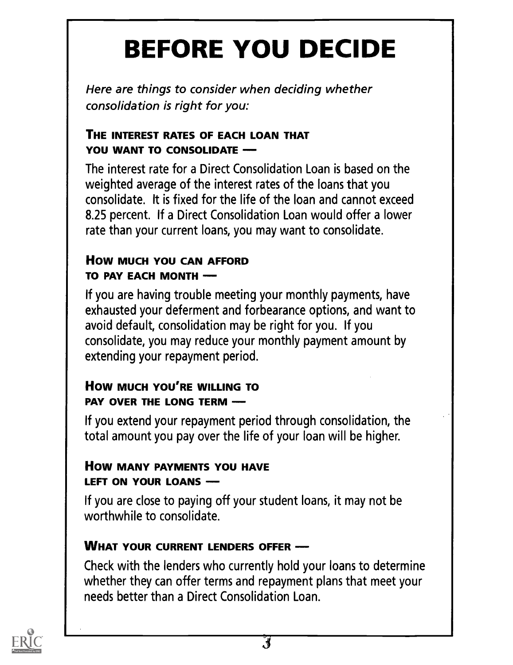# BEFORE YOU DECIDE

Here are things to consider when deciding whether consolidation is right for you:

#### THE INTEREST RATES OF EACH LOAN THAT YOU WANT TO CONSOLIDATE

The interest rate for a Direct Consolidation Loan is based on the weighted average of the interest rates of the loans that you consolidate. It is fixed for the life of the loan and cannot exceed 8.25 percent. If a Direct Consolidation Loan would offer a lower rate than your current loans, you may want to consolidate.

#### How MUCH YOU CAN AFFORD TO PAY EACH MONTH

If you are having trouble meeting your monthly payments, have exhausted your deferment and forbearance options, and want to avoid default, consolidation may be right for you. If you consolidate, you may reduce your monthly payment amount by extending your repayment period.

#### How MUCH YOU'RE WILLING TO PAY OVER THE LONG TERM -

If you extend your repayment period through consolidation, the total amount you pay over the life of your loan will be higher.

#### How MANY PAYMENTS YOU HAVE LEFT ON YOUR LOANS .

If you are close to paying off your student loans, it may not be worthwhile to consolidate.

#### WHAT YOUR CURRENT LENDERS OFFER .

Check with the lenders who currently hold your loans to determine whether they can offer terms and repayment plans that meet your needs better than a Direct Consolidation Loan.

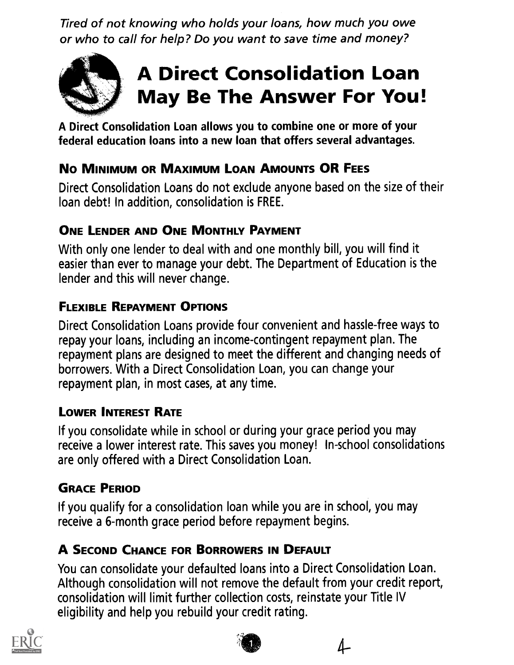Tired of not knowing who holds your loans, how much you owe or who to call for help? Do you want to save time and money?



A Direct Consolidation Loan allows you to combine one or more of your federal education loans into a new loan that offers several advantages.

#### No MINIMUM OR MAXIMUM LOAN AMOUNTS OR FEES

Direct Consolidation Loans do not exclude anyone based on the size of their loan debt! In addition, consolidation is FREE.

#### ONE LENDER AND ONE MONTHLY PAYMENT

With only one lender to deal with and one monthly bill, you will find it easier than ever to manage your debt. The Department of Education is the lender and this will never change.

#### FLEXIBLE REPAYMENT OPTIONS

Direct Consolidation Loans provide four convenient and hassle-free ways to repay your loans, including an income-contingent repayment plan. The repayment plans are designed to meet the different and changing needs of borrowers. With a Direct Consolidation Loan, you can change your repayment plan, in most cases, at any time.

#### LOWER INTEREST RATE

If you consolidate while in school or during your grace period you may receive a lower interest rate. This saves you money! In-school consolidations are only offered with a Direct Consolidation Loan.

#### GRACE PERIOD

If you qualify for a consolidation loan while you are in school, you may receive a 6-month grace period before repayment begins.

#### A SECOND CHANCE FOR BORROWERS IN DEFAULT

You can consolidate your defaulted loans into a Direct Consolidation Loan. Although consolidation will not remove the default from your credit report, consolidation will limit further collection costs, reinstate your Title IV eligibility and help you rebuild your credit rating.



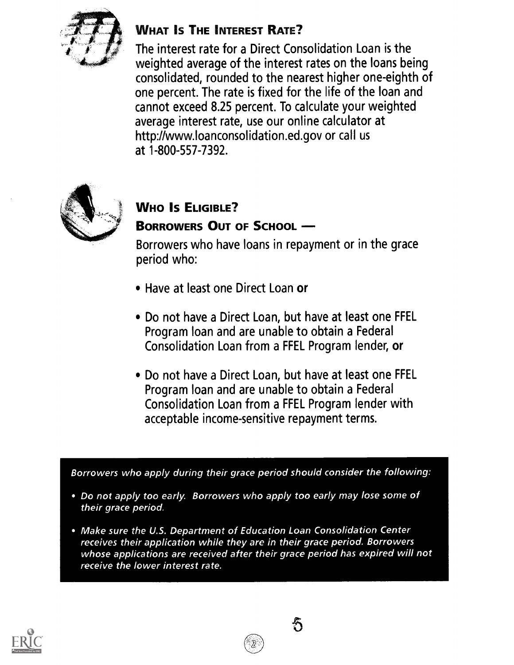

#### What Is The Interest Rate?

The interest rate for a Direct Consolidation Loan is the weighted average of the interest rates on the loans being consolidated, rounded to the nearest higher one-eighth of one percent. The rate is fixed for the life of the loan and cannot exceed 8.25 percent. To calculate your weighted average interest rate, use our online calculator at http://www.loanconsolidation.ed.gov or call us at 1-800-557-7392.



#### **WHO IS ELIGIBLE?**

#### **BORROWERS OUT OF SCHOOL -**

Borrowers who have loans in repayment or in the grace period who:

- . Have at least one Direct Loan or
- . Do not have a Direct Loan, but have at least one FFEL Program loan and are unable to obtain a Federal Consolidation Loan from a FFEL Program lender, or
- Do not have a Direct Loan, but have at least one FFEL Program loan and are unable to obtain a Federal Consolidation Loan from a FFEL Program lender with acceptable income-sensitive repayment terms.

Borrowers who apply during their grace period should consider the following:

- Do not apply too early. Borrowers who apply too early may lose some of their grace period.
- Make sure the U.S. Department of Education Loan Consolidation Center receives their application while they are in their grace period. Borrowers whose applications are received after their grace period has expired will not receive the lower interest rate.

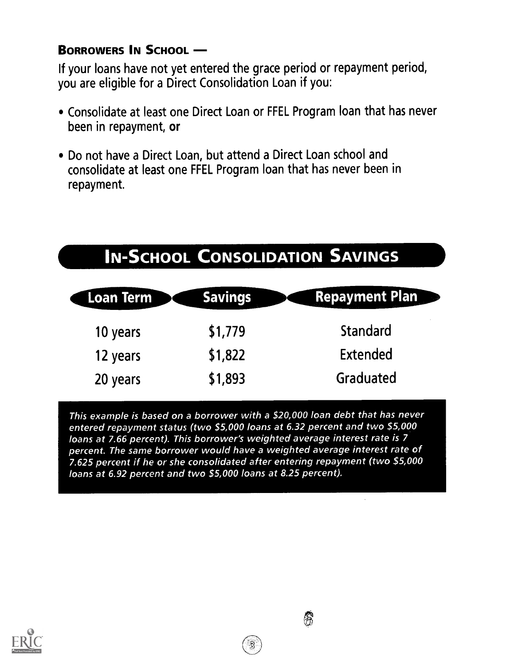#### **BORROWERS IN SCHOOL -**

If your loans have not yet entered the grace period or repayment period, you are eligible for a Direct Consolidation Loan if you:

- Consolidate at least one Direct Loan or FFEL Program loan that has never been in repayment, or
- Do not have a Direct Loan, but attend a Direct Loan school and consolidate at least one FFEL Program loan that has never been in repayment.

## **IN-SCHOOL CONSOLIDATION SAVINGS**

| Loan Term | <b>Savings</b> | <b>Repayment Plan</b> |
|-----------|----------------|-----------------------|
| 10 years  | \$1,779        | Standard              |
| 12 years  | \$1,822        | <b>Extended</b>       |
| 20 years  | \$1,893        | Graduated             |

This example is based on a borrower with a \$20,000 loan debt that has never entered repayment status (two \$5,000 loans at 6.32 percent and two \$5,000 loans at 7.66 percent). This borrower's weighted average interest rate is 7 percent. The same borrower would have a weighted average interest rate of 7.625 percent if he or she consolidated after entering repayment (two \$5,000 loans at 6.92 percent and two \$5,000 loans at 8.25 percent).

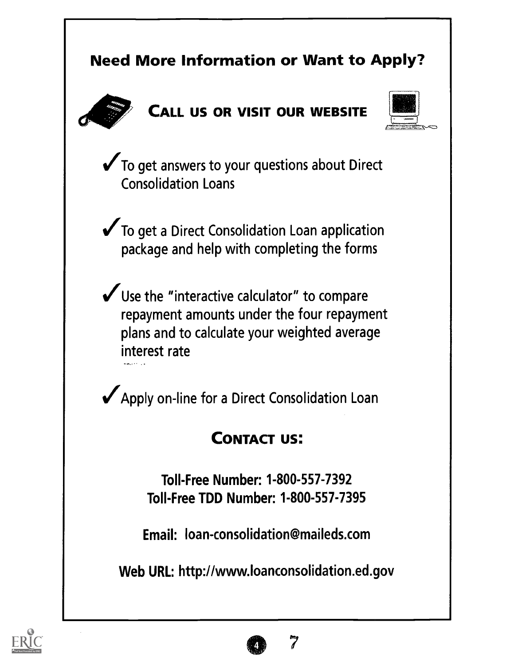



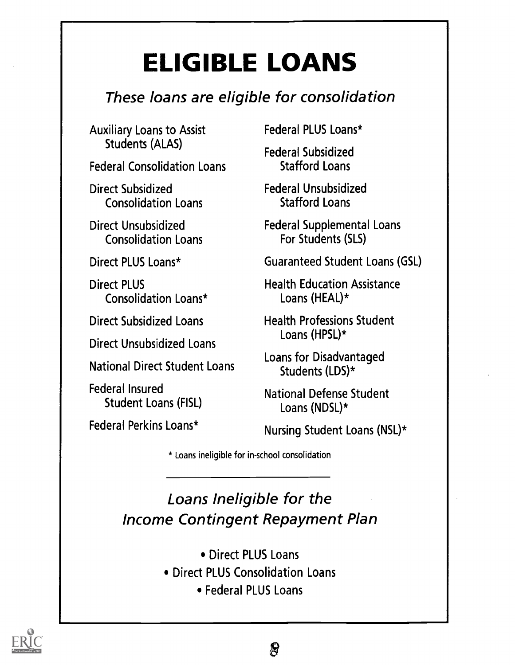# ELIGIBLE LOANS

#### These loans are eligible for consolidation

Auxiliary Loans to Assist Students (ALAS)

Federal Consolidation Loans

Direct Subsidized Consolidation Loans

Direct Unsubsidized Consolidation Loans

Direct PLUS Loans\*

Direct PLUS Consolidation Loans\*

Direct Subsidized Loans

Direct Unsubsidized Loans

National Direct Student Loans

Federal Insured Student Loans (FISL)

Federal Perkins Loans\*

Federal PLUS Loans\*

Federal Subsidized Stafford Loans

Federal Unsubsidized Stafford Loans

Federal Supplemental Loans For Students (SLS)

Guaranteed Student Loans (GSL)

Health Education Assistance Loans (HEAL)\*

Health Professions Student Loans (HPSL)\*

Loans for Disadvantaged Students (LDS)\*

National Defense Student Loans (NDSL)\*

Nursing Student Loans (NSL)\*

\* Loans ineligible for in-school consolidation

Loans Ineligible for the Income Contingent Repayment Plan

- Direct PLUS Loans
- Direct PLUS Consolidation Loans
	- Federal PLUS Loans



ବ୍ଷ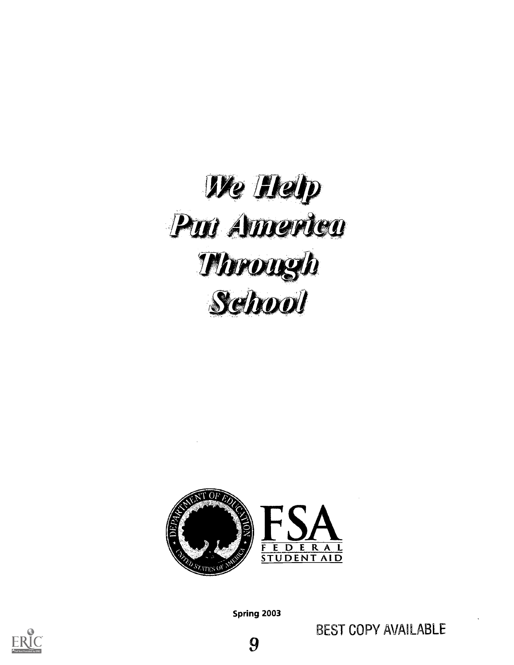# We Help Pui America Through



Spring 2003





9